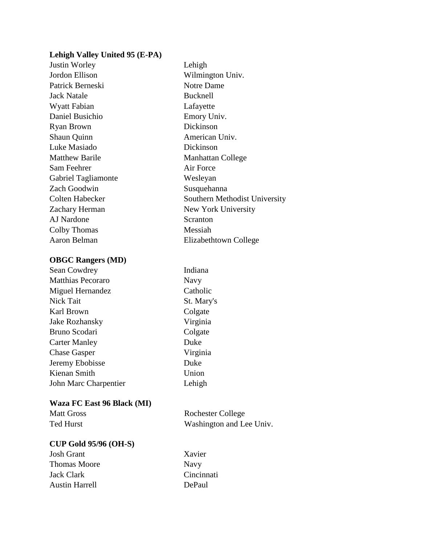## **Lehigh Valley United 95 (E-PA)**

Justin Worley Lehigh Jordon Ellison Wilmington Univ. Patrick Berneski Notre Dame Jack Natale Bucknell Wyatt Fabian Lafayette Daniel Busichio Emory Univ. Ryan Brown Dickinson Shaun Quinn **American Univ.** Luke Masiado Dickinson Matthew Barile Manhattan College Sam Feehrer Air Force Gabriel Tagliamonte Wesleyan Zach Goodwin Susquehanna Zachary Herman New York University AJ Nardone Scranton Colby Thomas Messiah

## **OBGC Rangers (MD)**

| Sean Cowdrey          |
|-----------------------|
| Matthias Pecoraro     |
| Miguel Hernandez      |
| Nick Tait             |
| Karl Brown            |
| <b>Jake Rozhansky</b> |
| Bruno Scodari         |
| <b>Carter Manley</b>  |
| <b>Chase Gasper</b>   |
| Jeremy Ebobisse       |
| Kienan Smith          |
| John Marc Charpentier |

## **Waza FC East 96 Black (MI)**

| <b>Matt Gross</b> | R |
|-------------------|---|
| Ted Hurst         |   |

# **CUP Gold 95/96 (OH-S)**

Josh Grant Xavier Thomas Moore Navy Jack Clark Cincinnati Austin Harrell DePaul

Colten Habecker Southern Methodist University Aaron Belman Elizabethtown College

> Indiana Navy Catholic St. Mary's Colgate Virginia Colgate Duke Virginia Duke Union Lehigh

ochester College Vashington and Lee Univ.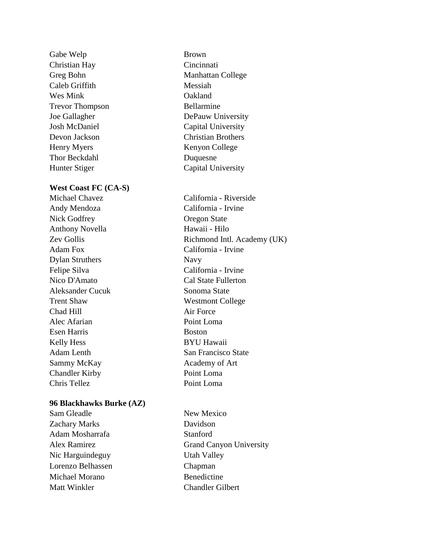Gabe Welp Brown Christian Hay Cincinnati Caleb Griffith Messiah Wes Mink Cakland Trevor Thompson Bellarmine Henry Myers Kenyon College Thor Beckdahl Duquesne Hunter Stiger Capital University

### **West Coast FC (CA-S)**

Andy Mendoza California - Irvine Nick Godfrey **Oregon State** Anthony Novella Hawaii - Hilo Adam Fox California - Irvine Dylan Struthers Navy Felipe Silva California - Irvine Nico D'Amato Cal State Fullerton Aleksander Cucuk Sonoma State Trent Shaw Westmont College Chad Hill Air Force Alec Afarian Point Loma Esen Harris Boston Kelly Hess BYU Hawaii Adam Lenth San Francisco State Sammy McKay Academy of Art Chandler Kirby Point Loma Chris Tellez Point Loma

#### **96 Blackhawks Burke (AZ)**

Sam Gleadle New Mexico Zachary Marks Davidson Adam Mosharrafa Stanford Nic Harguindeguy Utah Valley Lorenzo Belhassen Chapman Michael Morano Benedictine Matt Winkler Chandler Gilbert

Greg Bohn Manhattan College Joe Gallagher DePauw University Josh McDaniel Capital University Devon Jackson Christian Brothers

Michael Chavez California - Riverside Zev Gollis Richmond Intl. Academy (UK)

Alex Ramirez Grand Canyon University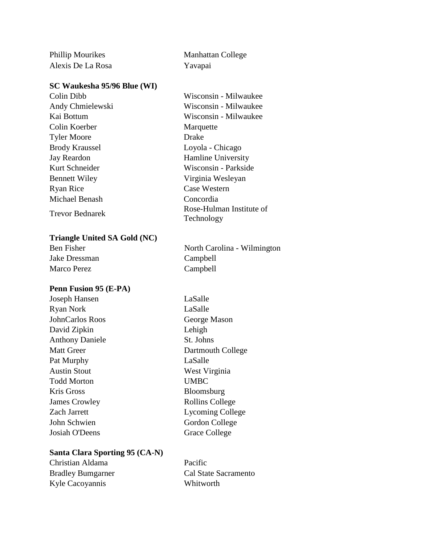Phillip Mourikes Manhattan College Alexis De La Rosa Yavapai

#### **SC Waukesha 95/96 Blue (WI)**

Colin Dibb Wisconsin - Milwaukee Colin Koerber Marquette Tyler Moore Drake Brody Kraussel Loyola - Chicago Jay Reardon Hamline University Bennett Wiley Virginia Wesleyan Ryan Rice Case Western Michael Benash Concordia

#### **Triangle United SA Gold (NC)**

Jake Dressman Campbell Marco Perez Campbell

#### **Penn Fusion 95 (E-PA)**

Joseph Hansen LaSalle Ryan Nork LaSalle JohnCarlos Roos George Mason David Zipkin Lehigh Anthony Daniele St. Johns Pat Murphy LaSalle Austin Stout West Virginia Todd Morton UMBC Kris Gross Bloomsburg James Crowley Rollins College John Schwien Gordon College Josiah O'Deens Grace College

Andy Chmielewski Wisconsin - Milwaukee Kai Bottum Wisconsin - Milwaukee Kurt Schneider Wisconsin - Parkside Trevor Bednarek Rose-Hulman Institute of Technology

Ben Fisher North Carolina - Wilmington

Matt Greer Dartmouth College Zach Jarrett Lycoming College

#### **Santa Clara Sporting 95 (CA-N)**

| Christian Aldama         | Pacific              |
|--------------------------|----------------------|
| <b>Bradley Bumgarner</b> | Cal State Sacramento |
| Kyle Cacoyannis          | Whitworth            |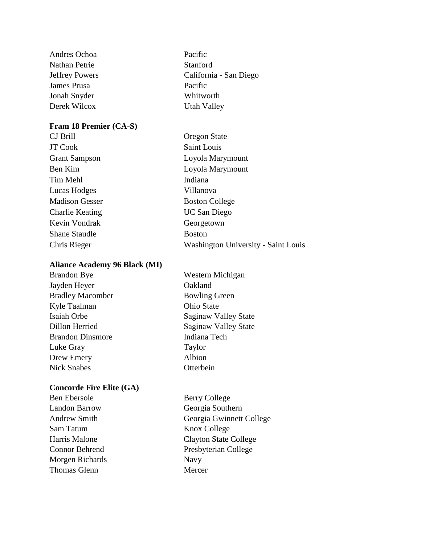Andres Ochoa Pacific Nathan Petrie Stanford **James Prusa** Pacific Jonah Snyder Whitworth Derek Wilcox Utah Valley

### **Fram 18 Premier (CA-S)**

JT Cook Saint Louis Tim Mehl **Indiana** Lucas Hodges Villanova Madison Gesser Boston College Charlie Keating UC San Diego Kevin Vondrak Georgetown Shane Staudle Boston

## **Aliance Academy 96 Black (MI)**

Brandon Bye Jayden Heyer Bradley Macomber Kyle Taalman Isaiah Orbe Dillon Herried Brandon Dinsmore Luke Gray Drew Emery Nick Snabes

## **Concorde Fire Elite (GA)**

Ben Ebersole Berry College Landon Barrow Georgia Southern Sam Tatum Knox College Morgen Richards Navy Thomas Glenn Mercer

- Jeffrey Powers California San Diego
- CJ Brill Oregon State Grant Sampson Loyola Marymount Ben Kim Loyola Marymount Chris Rieger Washington University - Saint Louis

| Western Michigan     |
|----------------------|
| Oakland              |
| <b>Bowling Green</b> |
| Ohio State           |
| Saginaw Valley State |
| Saginaw Valley State |
| Indiana Tech         |
| Taylor               |
| Albion               |
| Otterbein            |

Andrew Smith Georgia Gwinnett College Harris Malone Clayton State College Connor Behrend Presbyterian College